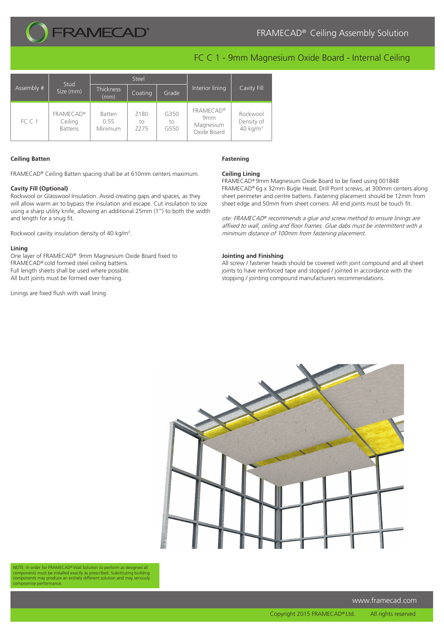

# FC C 1 - 9mm Magnesium Oxide Board - Internal Ceiling

| Assembly # | Stud<br>Size (mm)                             | Steel                     |                                |                    |                                                                 |                                                |
|------------|-----------------------------------------------|---------------------------|--------------------------------|--------------------|-----------------------------------------------------------------|------------------------------------------------|
|            |                                               | <b>Thickness</b><br>(mm)  | Coating                        | Grade              | Interior lining                                                 | Cavity Fill                                    |
| FC C 1     | <b>FRAMECAD®</b><br>Ceiling<br><b>Battens</b> | Batten<br>0.55<br>Minimum | Z180<br>to<br>Z <sub>275</sub> | G350<br>to<br>G550 | <b>FRAMECAD®</b><br>9 <sub>mm</sub><br>Magnesium<br>Oxide Board | Rockwool<br>Density of<br>40 kg/m <sup>3</sup> |

## **Ceiling Batten**

FRAMECAD® Ceiling Batten spacing shall be at 610mm centers maximum.

#### **Cavity Fill (Optional)**

Rockwool or Glasswool Insulation. Avoid creating gaps and spaces, as they will allow warm air to bypass the insulation and escape. Cut insulation to size using a sharp utility knife, allowing an additional 25mm (1") to both the width and length for a snug fit.

Rockwool caviity insulation density of 40 kg/m<sup>3</sup>.

### **Lining**

One layer of FRAMECAD® 9mm Magnesium Oxide Board fixed to FRAMECAD® cold formed steel ceiling battens. Full length sheets shall be used where possible. All butt joints must be formed over framing.

Linings are fixed flush with wall lining.

# **Fastening**

### **Ceiling Lining**

FRAMECAD® 9mm Magnesium Oxide Board to be fixed using 001848 FRAMECAD® 6g x 32mm Bugle Head, Drill Point screws, at 300mm centers along sheet perimeter and centre battens. Fastening placement should be 12mm from sheet edge and 50mm from sheet corners. All end joints must be touch fit.

ote: FRAMECAD® recommends a glue and screw method to ensure linings are affixed to wall, ceiling and floor frames. Glue dabs must be intermittent with a minimum distance of 100mm from fastening placement.

#### **Jointing and Finishing**

All screw / fastener heads should be covered with joint compound and all sheet joints to have reinforced tape and stopped / jointed in accordance with the stopping / jointing compound manufacturers recommendations.



NOTE: In order for FRAMECAD® Wall Solution to perform as designed all components must be installed exactly as prescribed. Substituting building components may produce an entirely different solution and may seriously compromise performance.